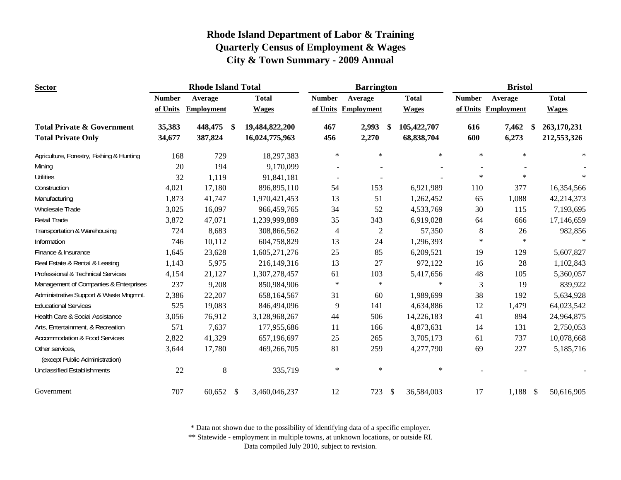| <b>Sector</b>                                     |               | <b>Rhode Island Total</b> |               |                |                | <b>Barrington</b>   |      | <b>Bristol</b> |                |                     |    |              |
|---------------------------------------------------|---------------|---------------------------|---------------|----------------|----------------|---------------------|------|----------------|----------------|---------------------|----|--------------|
|                                                   | <b>Number</b> | Average                   |               | <b>Total</b>   | <b>Number</b>  | Average             |      | <b>Total</b>   | <b>Number</b>  | Average             |    | <b>Total</b> |
|                                                   | of Units      | <b>Employment</b>         |               | <b>Wages</b>   |                | of Units Employment |      | <b>Wages</b>   |                | of Units Employment |    | <b>Wages</b> |
| <b>Total Private &amp; Government</b>             | 35,383        | 448,475                   | -\$           | 19,484,822,200 | 467            | 2,993               | - \$ | 105,422,707    | 616            | 7,462               | \$ | 263,170,231  |
| <b>Total Private Only</b>                         | 34,677        | 387,824                   |               | 16,024,775,963 | 456            | 2,270               |      | 68,838,704     | 600            | 6,273               |    | 212,553,326  |
| Agriculture, Forestry, Fishing & Hunting          | 168           | 729                       |               | 18,297,383     | $\ast$         | $\ast$              |      | $\ast$         | $\ast$         | $\ast$              |    | $\ast$       |
| Mining                                            | 20            | 194                       |               | 9,170,099      |                |                     |      |                |                |                     |    |              |
| <b>Utilities</b>                                  | 32            | 1,119                     |               | 91,841,181     | $\blacksquare$ |                     |      |                | $\ast$         | $\ast$              |    |              |
| Construction                                      | 4,021         | 17,180                    |               | 896,895,110    | 54             | 153                 |      | 6,921,989      | 110            | 377                 |    | 16,354,566   |
| Manufacturing                                     | 1,873         | 41,747                    |               | 1,970,421,453  | 13             | 51                  |      | 1,262,452      | 65             | 1,088               |    | 42,214,373   |
| Wholesale Trade                                   | 3,025         | 16,097                    |               | 966,459,765    | 34             | 52                  |      | 4,533,769      | 30             | 115                 |    | 7,193,695    |
| Retail Trade                                      | 3,872         | 47,071                    |               | 1,239,999,889  | 35             | 343                 |      | 6,919,028      | 64             | 666                 |    | 17,146,659   |
| Transportation & Warehousing                      | 724           | 8,683                     |               | 308,866,562    | $\overline{4}$ | 2                   |      | 57,350         | $8\phantom{1}$ | 26                  |    | 982,856      |
| Information                                       | 746           | 10,112                    |               | 604,758,829    | 13             | 24                  |      | 1,296,393      | $\ast$         | $\ast$              |    |              |
| Finance & Insurance                               | 1,645         | 23,628                    |               | 1,605,271,276  | 25             | 85                  |      | 6,209,521      | 19             | 129                 |    | 5,607,827    |
| Real Estate & Rental & Leasing                    | 1,143         | 5,975                     |               | 216,149,316    | 13             | 27                  |      | 972,122        | 16             | $28\,$              |    | 1,102,843    |
| Professional & Technical Services                 | 4,154         | 21,127                    |               | 1,307,278,457  | 61             | 103                 |      | 5,417,656      | 48             | 105                 |    | 5,360,057    |
| Management of Companies & Enterprises             | 237           | 9,208                     |               | 850,984,906    | $\ast$         | $\ast$              |      | $\ast$         | $\mathfrak{Z}$ | 19                  |    | 839,922      |
| Administrative Support & Waste Mngmnt.            | 2,386         | 22,207                    |               | 658,164,567    | 31             | 60                  |      | 1,989,699      | 38             | 192                 |    | 5,634,928    |
| <b>Educational Services</b>                       | 525           | 19,083                    |               | 846,494,096    | 9              | 141                 |      | 4,634,886      | 12             | 1,479               |    | 64,023,542   |
| Health Care & Social Assistance                   | 3,056         | 76,912                    |               | 3,128,968,267  | 44             | 506                 |      | 14,226,183     | 41             | 894                 |    | 24,964,875   |
| Arts, Entertainment, & Recreation                 | 571           | 7,637                     |               | 177,955,686    | 11             | 166                 |      | 4,873,631      | 14             | 131                 |    | 2,750,053    |
| <b>Accommodation &amp; Food Services</b>          | 2,822         | 41,329                    |               | 657,196,697    | 25             | 265                 |      | 3,705,173      | 61             | 737                 |    | 10,078,668   |
| Other services,<br>(except Public Administration) | 3,644         | 17,780                    |               | 469,266,705    | 81             | 259                 |      | 4,277,790      | 69             | 227                 |    | 5,185,716    |
| <b>Unclassified Establishments</b>                | 22            | $\,8\,$                   |               | 335,719        | $\ast$         | $\ast$              |      | $\ast$         |                |                     |    |              |
| Government                                        | 707           | 60,652                    | $\mathcal{S}$ | 3,460,046,237  | 12             | 723                 | \$   | 36,584,003     | 17             | $1,188$ \$          |    | 50,616,905   |

\* Data not shown due to the possibility of identifying data of a specific employer.

\*\* Statewide - employment in multiple towns, at unknown locations, or outside RI.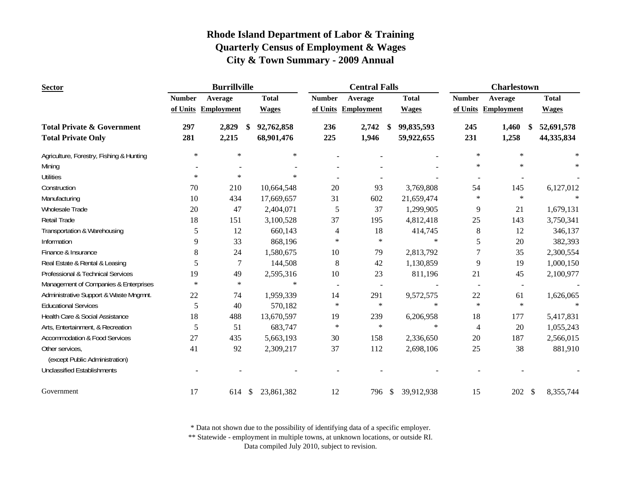| <b>Sector</b>                            |               | <b>Burrillville</b> |    |              | <b>Central Falls</b> |                     |               | <b>Charlestown</b> |                              |                        |              |
|------------------------------------------|---------------|---------------------|----|--------------|----------------------|---------------------|---------------|--------------------|------------------------------|------------------------|--------------|
|                                          | <b>Number</b> | Average             |    | <b>Total</b> | <b>Number</b>        | Average             |               | <b>Total</b>       | <b>Number</b>                | Average                | <b>Total</b> |
|                                          |               | of Units Employment |    | <b>Wages</b> |                      | of Units Employment |               | <b>Wages</b>       |                              | of Units Employment    | <b>Wages</b> |
| <b>Total Private &amp; Government</b>    | 297           | 2,829               | \$ | 92,762,858   | 236                  | 2,742               | S.            | 99,835,593         | 245                          | 1,460<br><sup>\$</sup> | 52,691,578   |
| <b>Total Private Only</b>                | 281           | 2,215               |    | 68,901,476   | 225                  | 1,946               |               | 59,922,655         | 231                          | 1,258                  | 44,335,834   |
| Agriculture, Forestry, Fishing & Hunting | $\ast$        | $\ast$              |    | $\ast$       |                      |                     |               |                    | $\ast$                       | $\ast$                 | $\star$      |
| Mining                                   |               |                     |    |              |                      |                     |               |                    | $\ast$                       | $\ast$                 |              |
| <b>Utilities</b>                         | $\ast$        | $\ast$              |    | $\ast$       |                      |                     |               |                    | $\qquad \qquad \blacksquare$ |                        |              |
| Construction                             | 70            | 210                 |    | 10,664,548   | 20                   | 93                  |               | 3,769,808          | 54                           | 145                    | 6,127,012    |
| Manufacturing                            | 10            | 434                 |    | 17,669,657   | 31                   | 602                 |               | 21,659,474         | $\ast$                       | $\ast$                 |              |
| Wholesale Trade                          | 20            | 47                  |    | 2,404,071    | 5                    | 37                  |               | 1,299,905          | 9                            | 21                     | 1,679,131    |
| <b>Retail Trade</b>                      | 18            | 151                 |    | 3,100,528    | 37                   | 195                 |               | 4,812,418          | 25                           | 143                    | 3,750,341    |
| Transportation & Warehousing             | 5             | 12                  |    | 660,143      | 4                    | 18                  |               | 414,745            | $8\,$                        | 12                     | 346,137      |
| Information                              | 9             | 33                  |    | 868,196      | $\ast$               | $\ast$              |               | $\ast$             | 5                            | 20                     | 382,393      |
| Finance & Insurance                      | 8             | 24                  |    | 1,580,675    | 10                   | 79                  |               | 2,813,792          | 7                            | 35                     | 2,300,554    |
| Real Estate & Rental & Leasing           | 5             | $\overline{7}$      |    | 144,508      | $8\,$                | 42                  |               | 1,130,859          | 9                            | 19                     | 1,000,150    |
| Professional & Technical Services        | 19            | 49                  |    | 2,595,316    | 10                   | 23                  |               | 811,196            | 21                           | 45                     | 2,100,977    |
| Management of Companies & Enterprises    | $\ast$        | $\ast$              |    | $\ast$       | $\blacksquare$       | $\blacksquare$      |               |                    | $\blacksquare$               | $\sim$                 |              |
| Administrative Support & Waste Mngmnt.   | 22            | 74                  |    | 1,959,339    | 14                   | 291                 |               | 9,572,575          | 22                           | 61                     | 1,626,065    |
| <b>Educational Services</b>              | 5             | 40                  |    | 570,182      | $\ast$               | $\ast$              |               | $\ast$             | $\ast$                       | $\ast$                 | $\ast$       |
| Health Care & Social Assistance          | 18            | 488                 |    | 13,670,597   | 19                   | 239                 |               | 6,206,958          | 18                           | 177                    | 5,417,831    |
| Arts, Entertainment, & Recreation        | 5             | 51                  |    | 683,747      | $\ast$               | $\ast$              |               | $\ast$             | 4                            | 20                     | 1,055,243    |
| <b>Accommodation &amp; Food Services</b> | 27            | 435                 |    | 5,663,193    | 30                   | 158                 |               | 2,336,650          | 20                           | 187                    | 2,566,015    |
| Other services,                          | 41            | 92                  |    | 2,309,217    | 37                   | 112                 |               | 2,698,106          | 25                           | 38                     | 881,910      |
| (except Public Administration)           |               |                     |    |              |                      |                     |               |                    |                              |                        |              |
| <b>Unclassified Establishments</b>       |               |                     |    |              |                      |                     |               |                    |                              |                        |              |
| Government                               | 17            | 614                 | \$ | 23,861,382   | 12                   | 796                 | $\mathcal{S}$ | 39,912,938         | 15                           | 202 \$                 | 8,355,744    |

\* Data not shown due to the possibility of identifying data of a specific employer.

\*\* Statewide - employment in multiple towns, at unknown locations, or outside RI.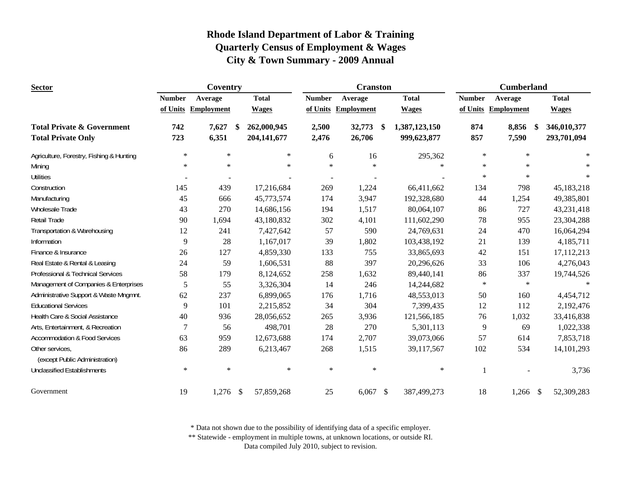| <b>Sector</b>                                                      | Coventry      |                     |    |                            | <b>Cranston</b> |                     | <b>Cumberland</b>                  |               |                       |                            |
|--------------------------------------------------------------------|---------------|---------------------|----|----------------------------|-----------------|---------------------|------------------------------------|---------------|-----------------------|----------------------------|
|                                                                    | <b>Number</b> | Average             |    | <b>Total</b>               | <b>Number</b>   | Average             | <b>Total</b>                       | <b>Number</b> | Average               | <b>Total</b>               |
|                                                                    |               | of Units Employment |    | <b>Wages</b>               |                 | of Units Employment | <b>Wages</b>                       |               | of Units Employment   | <b>Wages</b>               |
| <b>Total Private &amp; Government</b><br><b>Total Private Only</b> | 742<br>723    | 7,627<br>6,351      | \$ | 262,000,945<br>204,141,677 | 2,500<br>2,476  | 32,773<br>26,706    | \$<br>1,387,123,150<br>999,623,877 | 874<br>857    | 8,856<br>-\$<br>7,590 | 346,010,377<br>293,701,094 |
| Agriculture, Forestry, Fishing & Hunting                           | $\ast$        | $\ast$              |    | $\ast$                     | 6               | 16                  | 295,362                            | $\ast$        | $\ast$                | $\ast$                     |
| Mining                                                             | $\ast$        | $\star$             |    | $\ast$                     | $\star$         | $\ast$              |                                    | $\ast$        | $\ast$                |                            |
| <b>Utilities</b>                                                   |               |                     |    |                            |                 |                     |                                    | $\ast$        | $\ast$                | $\ast$                     |
| Construction                                                       | 145           | 439                 |    | 17,216,684                 | 269             | 1,224               | 66,411,662                         | 134           | 798                   | 45,183,218                 |
| Manufacturing                                                      | 45            | 666                 |    | 45,773,574                 | 174             | 3,947               | 192,328,680                        | 44            | 1,254                 | 49,385,801                 |
| <b>Wholesale Trade</b>                                             | 43            | 270                 |    | 14,686,156                 | 194             | 1,517               | 80,064,107                         | 86            | 727                   | 43,231,418                 |
| <b>Retail Trade</b>                                                | 90            | 1,694               |    | 43,180,832                 | 302             | 4,101               | 111,602,290                        | 78            | 955                   | 23,304,288                 |
| Transportation & Warehousing                                       | 12            | 241                 |    | 7,427,642                  | 57              | 590                 | 24,769,631                         | 24            | 470                   | 16,064,294                 |
| Information                                                        | 9             | 28                  |    | 1,167,017                  | 39              | 1,802               | 103,438,192                        | 21            | 139                   | 4,185,711                  |
| Finance & Insurance                                                | 26            | 127                 |    | 4,859,330                  | 133             | 755                 | 33,865,693                         | 42            | 151                   | 17,112,213                 |
| Real Estate & Rental & Leasing                                     | 24            | 59                  |    | 1,606,531                  | 88              | 397                 | 20,296,626                         | 33            | 106                   | 4,276,043                  |
| Professional & Technical Services                                  | 58            | 179                 |    | 8,124,652                  | 258             | 1,632               | 89,440,141                         | 86            | 337                   | 19,744,526                 |
| Management of Companies & Enterprises                              | 5             | 55                  |    | 3,326,304                  | 14              | 246                 | 14,244,682                         | $\ast$        | $\ast$                |                            |
| Administrative Support & Waste Mngmnt.                             | 62            | 237                 |    | 6,899,065                  | 176             | 1,716               | 48,553,013                         | 50            | 160                   | 4,454,712                  |
| <b>Educational Services</b>                                        | 9             | 101                 |    | 2,215,852                  | 34              | 304                 | 7,399,435                          | 12            | 112                   | 2,192,476                  |
| Health Care & Social Assistance                                    | 40            | 936                 |    | 28,056,652                 | 265             | 3,936               | 121,566,185                        | 76            | 1,032                 | 33,416,838                 |
| Arts, Entertainment, & Recreation                                  | 7             | 56                  |    | 498,701                    | 28              | 270                 | 5,301,113                          | 9             | 69                    | 1,022,338                  |
| <b>Accommodation &amp; Food Services</b>                           | 63            | 959                 |    | 12,673,688                 | 174             | 2,707               | 39,073,066                         | 57            | 614                   | 7,853,718                  |
| Other services,<br>(except Public Administration)                  | 86            | 289                 |    | 6,213,467                  | 268             | 1,515               | 39,117,567                         | 102           | 534                   | 14, 101, 293               |
| <b>Unclassified Establishments</b>                                 | $\ast$        | $\ast$              |    | $\ast$                     | $\ast$          | $\ast$              | $\ast$                             |               |                       | 3,736                      |
| Government                                                         | 19            | $1,276$ \$          |    | 57,859,268                 | 25              | 6,067               | \$<br>387,499,273                  | 18            | 1,266<br>- \$         | 52,309,283                 |

\* Data not shown due to the possibility of identifying data of a specific employer.

\*\* Statewide - employment in multiple towns, at unknown locations, or outside RI.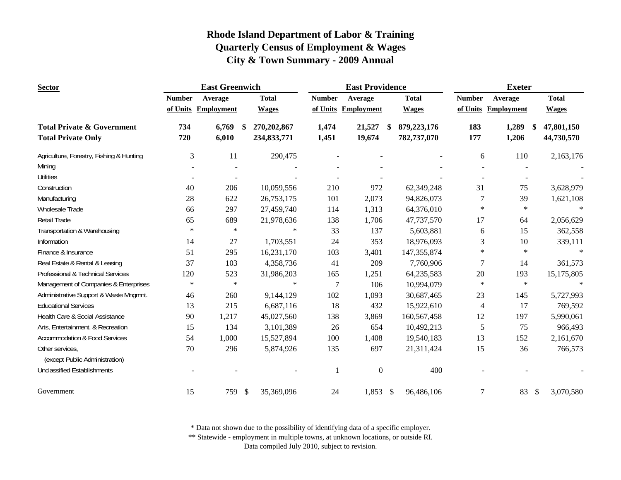| <b>Sector</b>                                     |               | <b>East Greenwich</b> |    |              | <b>East Providence</b> |                     |                           | <b>Exeter</b> |                |                     |                 |
|---------------------------------------------------|---------------|-----------------------|----|--------------|------------------------|---------------------|---------------------------|---------------|----------------|---------------------|-----------------|
|                                                   | <b>Number</b> | Average               |    | <b>Total</b> | <b>Number</b>          | Average             |                           | <b>Total</b>  | <b>Number</b>  | Average             | <b>Total</b>    |
|                                                   |               | of Units Employment   |    | <b>Wages</b> |                        | of Units Employment |                           | <b>Wages</b>  |                | of Units Employment | <b>Wages</b>    |
| <b>Total Private &amp; Government</b>             | 734           | 6,769                 | \$ | 270,202,867  | 1,474                  | 21,527              | S                         | 879,223,176   | 183            | 1,289<br>\$         | 47,801,150      |
| <b>Total Private Only</b>                         | 720           | 6,010                 |    | 234,833,771  | 1,451                  | 19,674              |                           | 782,737,070   | 177            | 1,206               | 44,730,570      |
| Agriculture, Forestry, Fishing & Hunting          | 3             | 11                    |    | 290,475      |                        |                     |                           |               | 6              | 110                 | 2,163,176       |
| Mining                                            |               |                       |    |              |                        |                     |                           |               |                |                     |                 |
| <b>Utilities</b>                                  |               |                       |    |              |                        |                     |                           |               |                |                     |                 |
| Construction                                      | 40            | 206                   |    | 10,059,556   | 210                    | 972                 |                           | 62,349,248    | 31             | 75                  | 3,628,979       |
| Manufacturing                                     | 28            | 622                   |    | 26,753,175   | 101                    | 2,073               |                           | 94,826,073    | 7              | 39                  | 1,621,108       |
| Wholesale Trade                                   | 66            | 297                   |    | 27,459,740   | 114                    | 1,313               |                           | 64,376,010    | $\ast$         | $\ast$              | $\ast$          |
| Retail Trade                                      | 65            | 689                   |    | 21,978,636   | 138                    | 1,706               |                           | 47,737,570    | 17             | 64                  | 2,056,629       |
| Transportation & Warehousing                      | $\ast$        | $\ast$                |    | $\ast$       | 33                     | 137                 |                           | 5,603,881     | 6              | 15                  | 362,558         |
| Information                                       | 14            | 27                    |    | 1,703,551    | 24                     | 353                 |                           | 18,976,093    | 3              | 10                  | 339,111         |
| Finance & Insurance                               | 51            | 295                   |    | 16,231,170   | 103                    | 3,401               |                           | 147, 355, 874 | $\ast$         | $\ast$              | $\ast$          |
| Real Estate & Rental & Leasing                    | 37            | 103                   |    | 4,358,736    | 41                     | 209                 |                           | 7,760,906     | 7              | 14                  | 361,573         |
| Professional & Technical Services                 | 120           | 523                   |    | 31,986,203   | 165                    | 1,251               |                           | 64,235,583    | 20             | 193                 | 15,175,805      |
| Management of Companies & Enterprises             | $\ast$        | $\ast$                |    | $\ast$       | 7                      | 106                 |                           | 10,994,079    | $\ast$         | $\ast$              | $\ast$          |
| Administrative Support & Waste Mngmnt.            | 46            | 260                   |    | 9,144,129    | 102                    | 1,093               |                           | 30,687,465    | 23             | 145                 | 5,727,993       |
| <b>Educational Services</b>                       | 13            | 215                   |    | 6,687,116    | 18                     | 432                 |                           | 15,922,610    | $\overline{4}$ | 17                  | 769,592         |
| Health Care & Social Assistance                   | 90            | 1,217                 |    | 45,027,560   | 138                    | 3,869               |                           | 160,567,458   | 12             | 197                 | 5,990,061       |
| Arts, Entertainment, & Recreation                 | 15            | 134                   |    | 3,101,389    | 26                     | 654                 |                           | 10,492,213    | 5              | 75                  | 966,493         |
| <b>Accommodation &amp; Food Services</b>          | 54            | 1,000                 |    | 15,527,894   | 100                    | 1,408               |                           | 19,540,183    | 13             | 152                 | 2,161,670       |
| Other services,<br>(except Public Administration) | 70            | 296                   |    | 5,874,926    | 135                    | 697                 |                           | 21,311,424    | 15             | 36                  | 766,573         |
|                                                   |               |                       |    |              |                        |                     |                           |               |                |                     |                 |
| <b>Unclassified Establishments</b>                |               |                       |    |              |                        | $\mathbf{0}$        |                           | 400           |                |                     |                 |
| Government                                        | 15            | 759                   | \$ | 35,369,096   | 24                     | 1,853               | $\boldsymbol{\mathsf{S}}$ | 96,486,106    | $\overline{7}$ | 83                  | 3,070,580<br>\$ |

\* Data not shown due to the possibility of identifying data of a specific employer.

\*\* Statewide - employment in multiple towns, at unknown locations, or outside RI.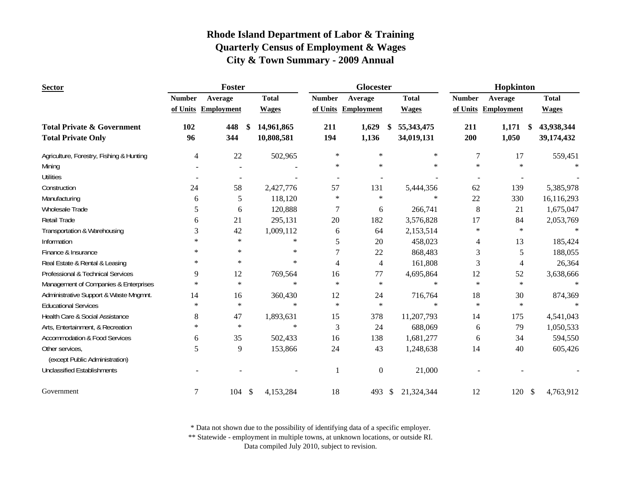| <b>Sector</b>                            |                | Foster                   |               |              |                | Glocester           |                  | Hopkinton     |                     |                            |  |
|------------------------------------------|----------------|--------------------------|---------------|--------------|----------------|---------------------|------------------|---------------|---------------------|----------------------------|--|
|                                          | <b>Number</b>  | Average                  |               | <b>Total</b> | <b>Number</b>  | Average             | <b>Total</b>     | <b>Number</b> | Average             | <b>Total</b>               |  |
|                                          |                | of Units Employment      |               | <b>Wages</b> |                | of Units Employment | <b>Wages</b>     |               | of Units Employment | <b>Wages</b>               |  |
| <b>Total Private &amp; Government</b>    | 102            | 448                      | <sup>\$</sup> | 14,961,865   | 211            | 1,629               | 55,343,475<br>S  | 211           | 1,171               | 43,938,344<br>-S           |  |
| <b>Total Private Only</b>                | 96             | 344                      |               | 10,808,581   | 194            | 1,136               | 34,019,131       | 200           | 1,050               | 39,174,432                 |  |
| Agriculture, Forestry, Fishing & Hunting | $\overline{4}$ | 22                       |               | 502,965      | $\ast$         | $\ast$              |                  | $\ast$        | 7<br>17             | 559,451                    |  |
| Mining                                   |                |                          |               |              | $\ast$         | $\ast$              |                  | $\ast$        | $\ast$<br>$\ast$    | $\ast$                     |  |
| <b>Utilities</b>                         |                | $\overline{\phantom{a}}$ |               |              | $\sim$         |                     |                  |               | $\blacksquare$      |                            |  |
| Construction                             | 24             | 58                       |               | 2,427,776    | 57             | 131                 | 5,444,356        |               | 62<br>139           | 5,385,978                  |  |
| Manufacturing                            | 6              | 5                        |               | 118,120      | $\ast$         | $\ast$              |                  | $\ast$        | 22<br>330           | 16,116,293                 |  |
| Wholesale Trade                          | 5              | 6                        |               | 120,888      | 7              | 6                   | 266,741          |               | 8<br>21             | 1,675,047                  |  |
| <b>Retail Trade</b>                      | 6              | 21                       |               | 295,131      | 20             | 182                 | 3,576,828        |               | 84<br>17            | 2,053,769                  |  |
| Transportation & Warehousing             | 3              | 42                       |               | 1,009,112    | 6              | 64                  | 2,153,514        |               | $\ast$<br>$\ast$    |                            |  |
| Information                              | $\ast$         | $\ast$                   |               | $\ast$       | 5              | 20                  | 458,023          |               | 13<br>4             | 185,424                    |  |
| Finance & Insurance                      | $\ast$         | $\ast$                   |               | $\ast$       | 7              | 22                  | 868,483          |               | 3<br>5              | 188,055                    |  |
| Real Estate & Rental & Leasing           | $\ast$         | $\ast$                   |               | $\ast$       | $\overline{4}$ | $\overline{4}$      | 161,808          |               | 3<br>4              | 26,364                     |  |
| Professional & Technical Services        | 9              | 12                       |               | 769,564      | 16             | 77                  | 4,695,864        |               | 12<br>52            | 3,638,666                  |  |
| Management of Companies & Enterprises    | $\ast$         | $\ast$                   |               | $\ast$       | $\ast$         | $\ast$              |                  | $\ast$        | $\ast$<br>$\star$   | $\ast$                     |  |
| Administrative Support & Waste Mngmnt.   | 14             | 16                       |               | 360,430      | 12             | 24                  | 716,764          |               | 18<br>30            | 874,369                    |  |
| <b>Educational Services</b>              | $\ast$         | $\star$                  |               | $\ast$       | $\ast$         | $\ast$              |                  | $\ast$        | $\ast$<br>$\ast$    | $\ast$                     |  |
| Health Care & Social Assistance          | 8              | 47                       |               | 1,893,631    | 15             | 378                 | 11,207,793       |               | 175<br>14           | 4,541,043                  |  |
| Arts, Entertainment, & Recreation        | $\ast$         | $\ast$                   |               | $\ast$       | 3              | 24                  | 688,069          |               | 79<br>6             | 1,050,533                  |  |
| <b>Accommodation &amp; Food Services</b> | 6              | 35                       |               | 502,433      | 16             | 138                 | 1,681,277        |               | 34<br>6             | 594,550                    |  |
| Other services,                          | 5              | 9                        |               | 153,866      | 24             | 43                  | 1,248,638        |               | 40<br>14            | 605,426                    |  |
| (except Public Administration)           |                |                          |               |              |                |                     |                  |               |                     |                            |  |
| <b>Unclassified Establishments</b>       |                |                          |               |              |                | $\boldsymbol{0}$    | 21,000           |               |                     |                            |  |
| Government                               | 7              | 104                      | $\mathcal{S}$ | 4,153,284    | 18             | 493                 | 21,324,344<br>\$ |               | 12<br>120           | $\mathcal{S}$<br>4,763,912 |  |

\* Data not shown due to the possibility of identifying data of a specific employer.

\*\* Statewide - employment in multiple towns, at unknown locations, or outside RI.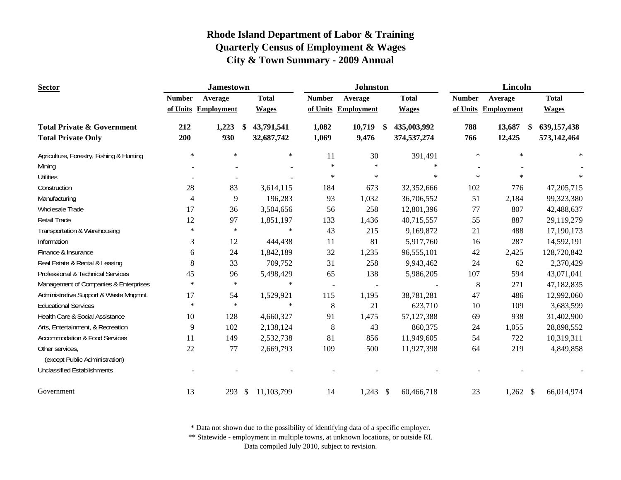| <b>Sector</b>                                                      |                | <b>Jamestown</b>              |                          |                | <b>Johnston</b>          |                                  | Lincoln       |                                       |                              |  |
|--------------------------------------------------------------------|----------------|-------------------------------|--------------------------|----------------|--------------------------|----------------------------------|---------------|---------------------------------------|------------------------------|--|
|                                                                    | <b>Number</b>  | Average                       | <b>Total</b>             | <b>Number</b>  | Average                  | <b>Total</b>                     | <b>Number</b> | Average                               | <b>Total</b>                 |  |
|                                                                    |                | of Units Employment           | <b>Wages</b>             | of Units       | <b>Employment</b>        | <b>Wages</b>                     |               | of Units Employment                   | <b>Wages</b>                 |  |
| <b>Total Private &amp; Government</b><br><b>Total Private Only</b> | 212<br>200     | 1,223<br><sup>\$</sup><br>930 | 43,791,541<br>32,687,742 | 1,082<br>1,069 | 10,719<br>9,476          | 435,003,992<br>\$<br>374,537,274 | 788<br>766    | 13,687<br>$\boldsymbol{\$}$<br>12,425 | 639, 157, 438<br>573,142,464 |  |
| Agriculture, Forestry, Fishing & Hunting                           | $\ast$         | $\star$                       | $\ast$                   | 11             | 30                       | 391,491                          | $\ast$        | $\star$                               | $\ast$                       |  |
| Mining                                                             |                |                               |                          | $\ast$         | $\ast$                   | $\ast$                           |               |                                       |                              |  |
| <b>Utilities</b>                                                   |                |                               |                          | $\ast$         | $\ast$                   | $\ast$                           | $\ast$        | $\ast$                                |                              |  |
| Construction                                                       | 28             | 83                            | 3,614,115                | 184            | 673                      | 32,352,666                       | 102           | 776                                   | 47,205,715                   |  |
| Manufacturing                                                      | $\overline{4}$ | 9                             | 196,283                  | 93             | 1,032                    | 36,706,552                       | 51            | 2,184                                 | 99,323,380                   |  |
| Wholesale Trade                                                    | 17             | 36                            | 3,504,656                | 56             | 258                      | 12,801,396                       | 77            | 807                                   | 42,488,637                   |  |
| <b>Retail Trade</b>                                                | 12             | 97                            | 1,851,197                | 133            | 1,436                    | 40,715,557                       | 55            | 887                                   | 29,119,279                   |  |
| Transportation & Warehousing                                       | $\ast$         | $\ast$                        | $\ast$                   | 43             | 215                      | 9,169,872                        | 21            | 488                                   | 17,190,173                   |  |
| Information                                                        | 3              | 12                            | 444,438                  | 11             | 81                       | 5,917,760                        | 16            | 287                                   | 14,592,191                   |  |
| Finance & Insurance                                                | 6              | 24                            | 1,842,189                | 32             | 1,235                    | 96,555,101                       | 42            | 2,425                                 | 128,720,842                  |  |
| Real Estate & Rental & Leasing                                     | 8              | 33                            | 709,752                  | 31             | 258                      | 9,943,462                        | 24            | 62                                    | 2,370,429                    |  |
| Professional & Technical Services                                  | 45             | 96                            | 5,498,429                | 65             | 138                      | 5,986,205                        | 107           | 594                                   | 43,071,041                   |  |
| Management of Companies & Enterprises                              | $\ast$         | $\star$                       | $\ast$                   |                | $\overline{\phantom{a}}$ |                                  | 8             | 271                                   | 47,182,835                   |  |
| Administrative Support & Waste Mngmnt.                             | 17             | 54                            | 1,529,921                | 115            | 1,195                    | 38,781,281                       | 47            | 486                                   | 12,992,060                   |  |
| <b>Educational Services</b>                                        | $\ast$         | $\star$                       | $\ast$                   | $8\,$          | 21                       | 623,710                          | 10            | 109                                   | 3,683,599                    |  |
| Health Care & Social Assistance                                    | 10             | 128                           | 4,660,327                | 91             | 1,475                    | 57,127,388                       | 69            | 938                                   | 31,402,900                   |  |
| Arts, Entertainment, & Recreation                                  | 9              | 102                           | 2,138,124                | 8              | 43                       | 860,375                          | 24            | 1,055                                 | 28,898,552                   |  |
| <b>Accommodation &amp; Food Services</b>                           | 11             | 149                           | 2,532,738                | 81             | 856                      | 11,949,605                       | 54            | 722                                   | 10,319,311                   |  |
| Other services,<br>(except Public Administration)                  | 22             | 77                            | 2,669,793                | 109            | 500                      | 11,927,398                       | 64            | 219                                   | 4,849,858                    |  |
| <b>Unclassified Establishments</b>                                 |                |                               |                          |                |                          |                                  |               |                                       |                              |  |
| Government                                                         | 13             | \$<br>293                     | 11,103,799               | 14             | 1,243                    | - \$<br>60,466,718               | 23            | $1,262$ \$                            | 66,014,974                   |  |

\* Data not shown due to the possibility of identifying data of a specific employer.

\*\* Statewide - employment in multiple towns, at unknown locations, or outside RI.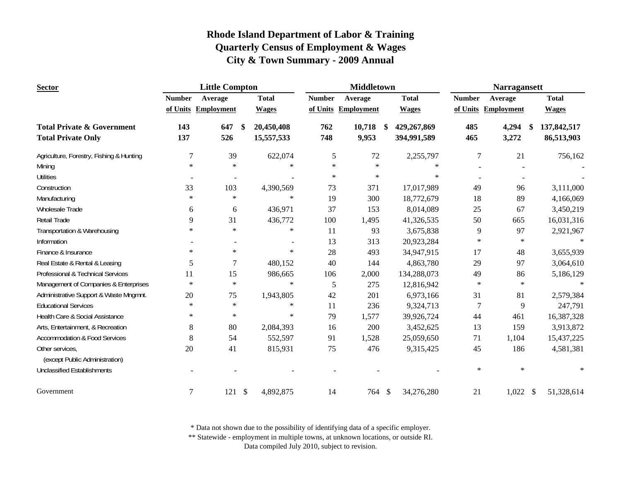| <b>Sector</b>                            |               | <b>Little Compton</b>    |                                        |               | <b>Middletown</b>   |                   | <b>Narragansett</b> |                   |                             |  |
|------------------------------------------|---------------|--------------------------|----------------------------------------|---------------|---------------------|-------------------|---------------------|-------------------|-----------------------------|--|
|                                          | <b>Number</b> | Average                  | <b>Total</b>                           | <b>Number</b> | Average             | <b>Total</b>      | <b>Number</b>       | Average           | <b>Total</b>                |  |
|                                          |               | of Units Employment      | <b>Wages</b>                           |               | of Units Employment | <b>Wages</b>      | of Units            | <b>Employment</b> | <b>Wages</b>                |  |
| <b>Total Private &amp; Government</b>    | 143           | 647                      | 20,450,408<br><sup>\$</sup>            | 762           | 10,718              | 429,267,869<br>\$ | 485                 | 4,294<br>\$       | 137,842,517                 |  |
| <b>Total Private Only</b>                | 137           | 526                      | 15,557,533                             | 748           | 9,953               | 394,991,589       | 465                 | 3,272             | 86,513,903                  |  |
| Agriculture, Forestry, Fishing & Hunting | 7             | 39                       | 622,074                                | 5             | 72                  | 2,255,797         | $\boldsymbol{7}$    | 21                | 756,162                     |  |
| Mining                                   | $\ast$        | $\ast$                   | $\ast$                                 | $\ast$        | $\star$             | $\ast$            |                     |                   |                             |  |
| <b>Utilities</b>                         |               | $\overline{\phantom{a}}$ |                                        | $\ast$        | $\ast$              | $\ast$            |                     |                   |                             |  |
| Construction                             | 33            | 103                      | 4,390,569                              | 73            | 371                 | 17,017,989        | 49                  | 96                | 3,111,000                   |  |
| Manufacturing                            | $\ast$        | $\ast$                   | $\ast$                                 | 19            | 300                 | 18,772,679        | 18                  | 89                | 4,166,069                   |  |
| Wholesale Trade                          | 6             | 6                        | 436,971                                | 37            | 153                 | 8,014,089         | 25                  | 67                | 3,450,219                   |  |
| Retail Trade                             | 9             | 31                       | 436,772                                | 100           | 1,495               | 41,326,535        | 50                  | 665               | 16,031,316                  |  |
| Transportation & Warehousing             | $\ast$        | $\ast$                   | $\ast$                                 | 11            | 93                  | 3,675,838         | 9                   | 97                | 2,921,967                   |  |
| Information                              |               |                          |                                        | 13            | 313                 | 20,923,284        | $\ast$              | $\ast$            |                             |  |
| Finance & Insurance                      | $\ast$        | $\ast$                   | $\ast$                                 | 28            | 493                 | 34,947,915        | 17                  | 48                | 3,655,939                   |  |
| Real Estate & Rental & Leasing           | 5             | 7                        | 480,152                                | 40            | 144                 | 4,863,780         | 29                  | 97                | 3,064,610                   |  |
| Professional & Technical Services        | 11            | 15                       | 986,665                                | 106           | 2,000               | 134,288,073       | 49                  | 86                | 5,186,129                   |  |
| Management of Companies & Enterprises    | $\ast$        | $\ast$                   | $\ast$                                 | 5             | 275                 | 12,816,942        | $\ast$              | $\ast$            | $\ast$                      |  |
| Administrative Support & Waste Mngmnt.   | 20            | 75                       | 1,943,805                              | 42            | 201                 | 6,973,166         | 31                  | 81                | 2,579,384                   |  |
| <b>Educational Services</b>              | $\ast$        | $\ast$                   | $\ast$                                 | 11            | 236                 | 9,324,713         | 7                   | 9                 | 247,791                     |  |
| Health Care & Social Assistance          | $\ast$        | $\ast$                   | $\ast$                                 | 79            | 1,577               | 39,926,724        | 44                  | 461               | 16,387,328                  |  |
| Arts, Entertainment, & Recreation        | 8             | 80                       | 2,084,393                              | 16            | 200                 | 3,452,625         | 13                  | 159               | 3,913,872                   |  |
| <b>Accommodation &amp; Food Services</b> | 8             | 54                       | 552,597                                | 91            | 1,528               | 25,059,650        | 71                  | 1,104             | 15,437,225                  |  |
| Other services,                          | 20            | 41                       | 815,931                                | 75            | 476                 | 9,315,425         | 45                  | 186               | 4,581,381                   |  |
| (except Public Administration)           |               |                          |                                        |               |                     |                   |                     |                   |                             |  |
| <b>Unclassified Establishments</b>       |               |                          |                                        |               |                     |                   | $\ast$              | $\ast$            | $\ast$                      |  |
| Government                               | 7             | 121                      | $\boldsymbol{\mathsf{S}}$<br>4,892,875 | 14            | 764 \$              | 34,276,280        | 21                  | 1,022             | $\mathcal{S}$<br>51,328,614 |  |

\* Data not shown due to the possibility of identifying data of a specific employer.

\*\* Statewide - employment in multiple towns, at unknown locations, or outside RI.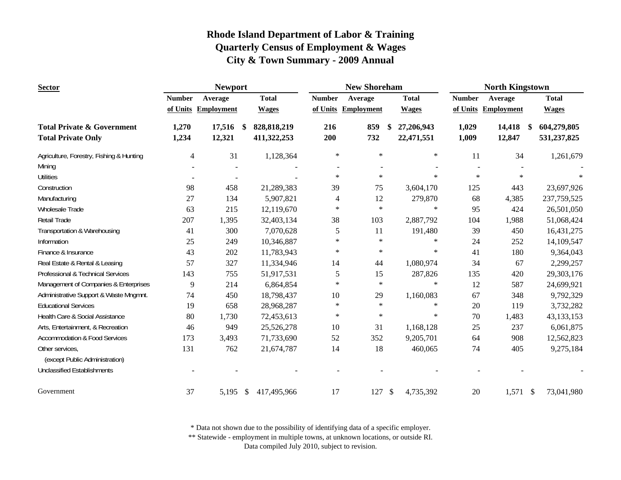| <b>Sector</b>                                                      |                | <b>Newport</b>      |                                    |               | <b>New Shoreham</b> |                                        | <b>North Kingstown</b> |                        |                            |  |
|--------------------------------------------------------------------|----------------|---------------------|------------------------------------|---------------|---------------------|----------------------------------------|------------------------|------------------------|----------------------------|--|
|                                                                    | <b>Number</b>  | Average             | <b>Total</b>                       | <b>Number</b> | Average             | <b>Total</b>                           | <b>Number</b>          | Average                | <b>Total</b>               |  |
|                                                                    |                | of Units Employment | <b>Wages</b>                       |               | of Units Employment | <b>Wages</b>                           | of Units               | <b>Employment</b>      | <b>Wages</b>               |  |
| <b>Total Private &amp; Government</b><br><b>Total Private Only</b> | 1,270<br>1,234 | 17,516<br>12,321    | 828, 818, 219<br>-S<br>411,322,253 | 216<br>200    | 859<br>732          | 27,206,943<br>\$<br>22,471,551         | 1,029<br>1,009         | 14,418<br>\$<br>12,847 | 604,279,805<br>531,237,825 |  |
| Agriculture, Forestry, Fishing & Hunting                           | $\overline{4}$ | 31                  | 1,128,364                          | $\ast$        | $\star$             | $\ast$                                 | 11                     | 34                     | 1,261,679                  |  |
| Mining                                                             |                |                     |                                    |               |                     |                                        |                        |                        |                            |  |
| <b>Utilities</b>                                                   |                | $\sim$              |                                    | $\ast$        | $\ast$              | $\ast$                                 | $\ast$                 | $\star$                |                            |  |
| Construction                                                       | 98             | 458                 | 21,289,383                         | 39            | 75                  | 3,604,170                              | 125                    | 443                    | 23,697,926                 |  |
| Manufacturing                                                      | 27             | 134                 | 5,907,821                          | 4             | 12                  | 279,870                                | 68                     | 4,385                  | 237, 759, 525              |  |
| Wholesale Trade                                                    | 63             | 215                 | 12,119,670                         | $\ast$        | $\ast$              | $\ast$                                 | 95                     | 424                    | 26,501,050                 |  |
| Retail Trade                                                       | 207            | 1,395               | 32,403,134                         | 38            | 103                 | 2,887,792                              | 104                    | 1,988                  | 51,068,424                 |  |
| Transportation & Warehousing                                       | 41             | 300                 | 7,070,628                          | 5             | 11                  | 191,480                                | 39                     | 450                    | 16,431,275                 |  |
| Information                                                        | 25             | 249                 | 10,346,887                         | $\ast$        | $\star$             | $\ast$                                 | 24                     | 252                    | 14,109,547                 |  |
| Finance & Insurance                                                | 43             | 202                 | 11,783,943                         | $\ast$        | $\ast$              | $\ast$                                 | 41                     | 180                    | 9,364,043                  |  |
| Real Estate & Rental & Leasing                                     | 57             | 327                 | 11,334,946                         | 14            | 44                  | 1,080,974                              | 34                     | 67                     | 2,299,257                  |  |
| Professional & Technical Services                                  | 143            | 755                 | 51,917,531                         | 5             | 15                  | 287,826                                | 135                    | 420                    | 29,303,176                 |  |
| Management of Companies & Enterprises                              | 9              | 214                 | 6,864,854                          | $\ast$        | $\star$             | $\ast$                                 | 12                     | 587                    | 24,699,921                 |  |
| Administrative Support & Waste Mngmnt.                             | 74             | 450                 | 18,798,437                         | 10            | 29                  | 1,160,083                              | 67                     | 348                    | 9,792,329                  |  |
| <b>Educational Services</b>                                        | 19             | 658                 | 28,968,287                         | $\ast$        | $\ast$              | $\ast$                                 | $20\,$                 | 119                    | 3,732,282                  |  |
| Health Care & Social Assistance                                    | 80             | 1,730               | 72,453,613                         | $\ast$        | $\ast$              | $\ast$                                 | 70                     | 1,483                  | 43, 133, 153               |  |
| Arts, Entertainment, & Recreation                                  | 46             | 949                 | 25,526,278                         | 10            | 31                  | 1,168,128                              | 25                     | 237                    | 6,061,875                  |  |
| <b>Accommodation &amp; Food Services</b>                           | 173            | 3,493               | 71,733,690                         | 52            | 352                 | 9,205,701                              | 64                     | 908                    | 12,562,823                 |  |
| Other services,<br>(except Public Administration)                  | 131            | 762                 | 21,674,787                         | 14            | 18                  | 460,065                                | 74                     | 405                    | 9,275,184                  |  |
| <b>Unclassified Establishments</b>                                 |                |                     |                                    |               |                     |                                        |                        |                        |                            |  |
| Government                                                         | 37             | 5,195 \$            | 417,495,966                        | 17            | 127                 | $\boldsymbol{\mathsf{S}}$<br>4,735,392 | 20                     | $1,571$ \$             | 73,041,980                 |  |

\* Data not shown due to the possibility of identifying data of a specific employer.

\*\* Statewide - employment in multiple towns, at unknown locations, or outside RI.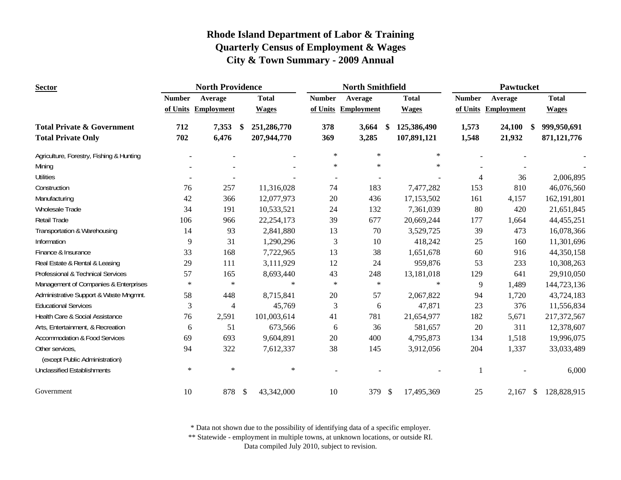| <b>Sector</b>                                     |               | <b>North Providence</b> |                             |                  | <b>North Smithfield</b> |                    | Pawtucket     |                     |              |  |
|---------------------------------------------------|---------------|-------------------------|-----------------------------|------------------|-------------------------|--------------------|---------------|---------------------|--------------|--|
|                                                   | <b>Number</b> | Average                 | <b>Total</b>                | <b>Number</b>    | Average                 | <b>Total</b>       | <b>Number</b> | Average             | <b>Total</b> |  |
|                                                   |               | of Units Employment     | <b>Wages</b>                |                  | of Units Employment     | <b>Wages</b>       |               | of Units Employment | <b>Wages</b> |  |
| <b>Total Private &amp; Government</b>             | 712           | 7,353                   | 251,286,770<br>-S           | 378              | 3,664                   | -\$<br>125,386,490 | 1,573         | 24,100<br>\$        | 999,950,691  |  |
| <b>Total Private Only</b>                         | 702           | 6,476                   | 207,944,770                 | 369              | 3,285                   | 107,891,121        | 1,548         | 21,932              | 871,121,776  |  |
| Agriculture, Forestry, Fishing & Hunting          |               |                         |                             | $\ast$           | $\ast$                  | $\ast$             |               |                     |              |  |
| Mining                                            |               |                         |                             | $\ast$           | $\ast$                  | $\ast$             |               |                     |              |  |
| <b>Utilities</b>                                  |               |                         |                             |                  |                         |                    | 4             | 36                  | 2,006,895    |  |
| Construction                                      | 76            | 257                     | 11,316,028                  | 74               | 183                     | 7,477,282          | 153           | 810                 | 46,076,560   |  |
| Manufacturing                                     | 42            | 366                     | 12,077,973                  | $20\,$           | 436                     | 17,153,502         | 161           | 4,157               | 162,191,801  |  |
| Wholesale Trade                                   | 34            | 191                     | 10,533,521                  | 24               | 132                     | 7,361,039          | 80            | 420                 | 21,651,845   |  |
| Retail Trade                                      | 106           | 966                     | 22, 254, 173                | 39               | 677                     | 20,669,244         | 177           | 1,664               | 44, 455, 251 |  |
| Transportation & Warehousing                      | 14            | 93                      | 2,841,880                   | 13               | 70                      | 3,529,725          | 39            | 473                 | 16,078,366   |  |
| Information                                       | 9             | 31                      | 1,290,296                   | $\mathfrak{Z}$   | 10                      | 418,242            | 25            | 160                 | 11,301,696   |  |
| Finance & Insurance                               | 33            | 168                     | 7,722,965                   | 13               | 38                      | 1,651,678          | 60            | 916                 | 44,350,158   |  |
| Real Estate & Rental & Leasing                    | 29            | 111                     | 3,111,929                   | 12               | 24                      | 959,876            | 53            | 233                 | 10,308,263   |  |
| Professional & Technical Services                 | 57            | 165                     | 8,693,440                   | 43               | 248                     | 13,181,018         | 129           | 641                 | 29,910,050   |  |
| Management of Companies & Enterprises             | $\ast$        | $\ast$                  |                             | $\ast$<br>$\ast$ | $\ast$                  | $\ast$             | 9             | 1,489               | 144,723,136  |  |
| Administrative Support & Waste Mngmnt.            | 58            | 448                     | 8,715,841                   | 20               | 57                      | 2,067,822          | 94            | 1,720               | 43,724,183   |  |
| <b>Educational Services</b>                       | 3             | 4                       | 45,769                      | 3                | 6                       | 47,871             | 23            | 376                 | 11,556,834   |  |
| Health Care & Social Assistance                   | 76            | 2,591                   | 101,003,614                 | 41               | 781                     | 21,654,977         | 182           | 5,671               | 217,372,567  |  |
| Arts, Entertainment, & Recreation                 | 6             | 51                      | 673,566                     | 6                | 36                      | 581,657            | $20\,$        | 311                 | 12,378,607   |  |
| <b>Accommodation &amp; Food Services</b>          | 69            | 693                     | 9,604,891                   | 20               | 400                     | 4,795,873          | 134           | 1,518               | 19,996,075   |  |
| Other services,<br>(except Public Administration) | 94            | 322                     | 7,612,337                   | 38               | 145                     | 3,912,056          | 204           | 1,337               | 33,033,489   |  |
| <b>Unclassified Establishments</b>                | $\ast$        | $\ast$                  |                             | $\ast$           |                         |                    |               |                     | 6,000        |  |
| Government                                        | 10            | 878                     | $\mathcal{S}$<br>43,342,000 | 10               | 379                     | \$<br>17,495,369   | 25            | $2,167$ \$          | 128,828,915  |  |

\* Data not shown due to the possibility of identifying data of a specific employer.

\*\* Statewide - employment in multiple towns, at unknown locations, or outside RI.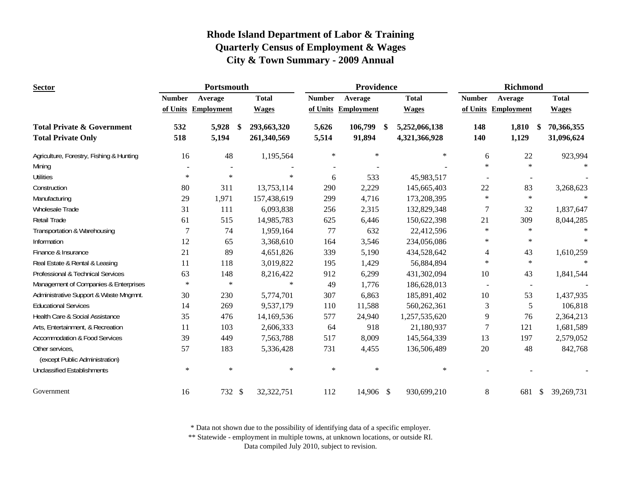| <b>Sector</b>                                     |                | <b>Portsmouth</b>   |                   |               | Providence          |                                | <b>Richmond</b> |                     |                             |  |
|---------------------------------------------------|----------------|---------------------|-------------------|---------------|---------------------|--------------------------------|-----------------|---------------------|-----------------------------|--|
|                                                   | <b>Number</b>  | Average             | <b>Total</b>      | <b>Number</b> | Average             | <b>Total</b>                   | <b>Number</b>   | Average             | <b>Total</b>                |  |
|                                                   |                | of Units Employment | <b>Wages</b>      |               | of Units Employment | <b>Wages</b>                   |                 | of Units Employment | <b>Wages</b>                |  |
| <b>Total Private &amp; Government</b>             | 532            | 5,928               | \$<br>293,663,320 | 5,626         | 106,799             | <sup>\$</sup><br>5,252,066,138 | 148             | 1,810               | 70,366,355<br>- \$          |  |
| <b>Total Private Only</b>                         | 518            | 5,194               | 261,340,569       | 5,514         | 91,894              | 4,321,366,928                  | 140             | 1,129               | 31,096,624                  |  |
| Agriculture, Forestry, Fishing & Hunting          | 16             | 48                  | 1,195,564         | $\ast$        | $\ast$              | $\ast$                         | 6               | 22                  | 923,994                     |  |
| Mining                                            |                |                     |                   |               |                     |                                | $\ast$          | $\ast$              |                             |  |
| <b>Utilities</b>                                  | $\ast$         | $\ast$              | $\ast$            | 6             | 533                 | 45,983,517                     |                 |                     |                             |  |
| Construction                                      | 80             | 311                 | 13,753,114        | 290           | 2,229               | 145,665,403                    | $22\,$          | 83                  | 3,268,623                   |  |
| Manufacturing                                     | 29             | 1,971               | 157,438,619       | 299           | 4,716               | 173,208,395                    | $\ast$          | $\ast$              |                             |  |
| Wholesale Trade                                   | 31             | 111                 | 6,093,838         | 256           | 2,315               | 132,829,348                    | 7               | 32                  | 1,837,647                   |  |
| Retail Trade                                      | 61             | 515                 | 14,985,783        | 625           | 6,446               | 150,622,398                    | 21              | 309                 | 8,044,285                   |  |
| Transportation & Warehousing                      | $\overline{7}$ | 74                  | 1,959,164         | 77            | 632                 | 22,412,596                     | $\ast$          | $\ast$              |                             |  |
| Information                                       | 12             | 65                  | 3,368,610         | 164           | 3,546               | 234,056,086                    | $\ast$          | $\ast$              |                             |  |
| Finance & Insurance                               | 21             | 89                  | 4,651,826         | 339           | 5,190               | 434,528,642                    | 4               | 43                  | 1,610,259                   |  |
| Real Estate & Rental & Leasing                    | 11             | 118                 | 3,019,822         | 195           | 1,429               | 56,884,894                     | $\ast$          | $\ast$              | $\ast$                      |  |
| Professional & Technical Services                 | 63             | 148                 | 8,216,422         | 912           | 6,299               | 431,302,094                    | $10\,$          | 43                  | 1,841,544                   |  |
| Management of Companies & Enterprises             | $\star$        | $\ast$              | $\star$           | 49            | 1,776               | 186,628,013                    |                 | $\sim$              |                             |  |
| Administrative Support & Waste Mngmnt.            | 30             | 230                 | 5,774,701         | 307           | 6,863               | 185,891,402                    | 10              | 53                  | 1,437,935                   |  |
| <b>Educational Services</b>                       | 14             | 269                 | 9,537,179         | 110           | 11,588              | 560,262,361                    | 3               | 5                   | 106,818                     |  |
| Health Care & Social Assistance                   | 35             | 476                 | 14,169,536        | 577           | 24,940              | 1,257,535,620                  | 9               | 76                  | 2,364,213                   |  |
| Arts, Entertainment, & Recreation                 | 11             | 103                 | 2,606,333         | 64            | 918                 | 21,180,937                     | 7               | 121                 | 1,681,589                   |  |
| <b>Accommodation &amp; Food Services</b>          | 39             | 449                 | 7,563,788         | 517           | 8,009               | 145,564,339                    | 13              | 197                 | 2,579,052                   |  |
| Other services,<br>(except Public Administration) | 57             | 183                 | 5,336,428         | 731           | 4,455               | 136,506,489                    | 20              | 48                  | 842,768                     |  |
| <b>Unclassified Establishments</b>                | $\ast$         | $\ast$              | $\ast$            | $\ast$        | $\ast$              | $\ast$                         |                 |                     |                             |  |
| Government                                        | 16             | 732 \$              | 32,322,751        | 112           | 14,906 \$           | 930,699,210                    | 8               | 681                 | 39,269,731<br>$\mathcal{S}$ |  |

\* Data not shown due to the possibility of identifying data of a specific employer.

\*\* Statewide - employment in multiple towns, at unknown locations, or outside RI.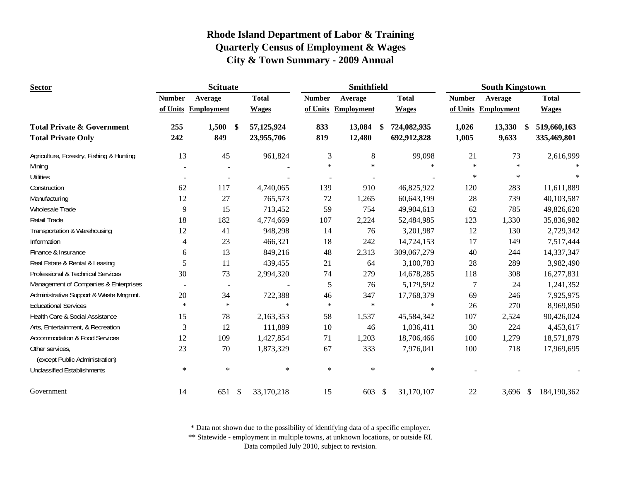| <b>Sector</b>                                                      |               | <b>Scituate</b>               |                          |               | Smithfield          |                                   | <b>South Kingstown</b> |                       |                            |  |
|--------------------------------------------------------------------|---------------|-------------------------------|--------------------------|---------------|---------------------|-----------------------------------|------------------------|-----------------------|----------------------------|--|
|                                                                    | <b>Number</b> | Average                       | <b>Total</b>             | <b>Number</b> | Average             | <b>Total</b>                      | <b>Number</b>          | Average               | <b>Total</b>               |  |
|                                                                    |               | of Units Employment           | <b>Wages</b>             |               | of Units Employment | <b>Wages</b>                      |                        | of Units Employment   | <b>Wages</b>               |  |
| <b>Total Private &amp; Government</b><br><b>Total Private Only</b> | 255<br>242    | 1,500<br><sup>\$</sup><br>849 | 57,125,924<br>23,955,706 | 833<br>819    | 13,084<br>12,480    | 724,082,935<br>-\$<br>692,912,828 | 1,026<br>1,005         | 13,330<br>\$<br>9,633 | 519,660,163<br>335,469,801 |  |
|                                                                    |               |                               |                          |               |                     |                                   |                        |                       |                            |  |
| Agriculture, Forestry, Fishing & Hunting                           | 13            | 45                            | 961,824                  | 3             | $\,8\,$             | 99,098                            | 21                     | 73                    | 2,616,999                  |  |
| Mining                                                             |               |                               |                          | $\ast$        | $\ast$              | $\star$                           | $\ast$                 | $\ast$                |                            |  |
| <b>Utilities</b>                                                   |               |                               |                          |               |                     |                                   | $\ast$                 | $\ast$                |                            |  |
| Construction                                                       | 62            | 117                           | 4,740,065                | 139           | 910                 | 46,825,922                        | 120                    | 283                   | 11,611,889                 |  |
| Manufacturing                                                      | 12            | 27                            | 765,573                  | 72            | 1,265               | 60,643,199                        | 28                     | 739                   | 40,103,587                 |  |
| Wholesale Trade                                                    | 9             | 15                            | 713,452                  | 59            | 754                 | 49,904,613                        | 62                     | 785                   | 49,826,620                 |  |
| Retail Trade                                                       | 18            | 182                           | 4,774,669                | 107           | 2,224               | 52,484,985                        | 123                    | 1,330                 | 35,836,982                 |  |
| Transportation & Warehousing                                       | 12            | 41                            | 948,298                  | 14            | 76                  | 3,201,987                         | 12                     | 130                   | 2,729,342                  |  |
| Information                                                        | 4             | 23                            | 466,321                  | 18            | 242                 | 14,724,153                        | 17                     | 149                   | 7,517,444                  |  |
| Finance & Insurance                                                | 6             | 13                            | 849,216                  | 48            | 2,313               | 309,067,279                       | 40                     | 244                   | 14,337,347                 |  |
| Real Estate & Rental & Leasing                                     | 5             | 11                            | 439,455                  | 21            | 64                  | 3,100,783                         | 28                     | 289                   | 3,982,490                  |  |
| Professional & Technical Services                                  | 30            | 73                            | 2,994,320                | 74            | 279                 | 14,678,285                        | 118                    | 308                   | 16,277,831                 |  |
| Management of Companies & Enterprises                              |               | $\overline{\phantom{a}}$      |                          | 5             | 76                  | 5,179,592                         | 7                      | 24                    | 1,241,352                  |  |
| Administrative Support & Waste Mngmnt.                             | 20            | 34                            | 722,388                  | 46            | 347                 | 17,768,379                        | 69                     | 246                   | 7,925,975                  |  |
| <b>Educational Services</b>                                        | $\ast$        | $\ast$                        | $\star$                  | $\ast$        | $\ast$              | $\ast$                            | 26                     | 270                   | 8,969,850                  |  |
| Health Care & Social Assistance                                    | 15            | 78                            | 2,163,353                | 58            | 1,537               | 45,584,342                        | 107                    | 2,524                 | 90,426,024                 |  |
| Arts, Entertainment, & Recreation                                  | 3             | 12                            | 111,889                  | 10            | 46                  | 1,036,411                         | 30                     | 224                   | 4,453,617                  |  |
| <b>Accommodation &amp; Food Services</b>                           | 12            | 109                           | 1,427,854                | 71            | 1,203               | 18,706,466                        | 100                    | 1,279                 | 18,571,879                 |  |
| Other services,<br>(except Public Administration)                  | 23            | 70                            | 1,873,329                | 67            | 333                 | 7,976,041                         | 100                    | 718                   | 17,969,695                 |  |
| <b>Unclassified Establishments</b>                                 | $\ast$        | $\ast$                        | $\ast$                   | $\ast$        | $\ast$              | $\ast$                            |                        |                       |                            |  |
| Government                                                         | 14            | 651<br>\$                     | 33,170,218               | 15            | 603                 | 31,170,107<br>- \$                | 22                     | 3,696 $\frac{1}{2}$   | 184,190,362                |  |

\* Data not shown due to the possibility of identifying data of a specific employer.

\*\* Statewide - employment in multiple towns, at unknown locations, or outside RI.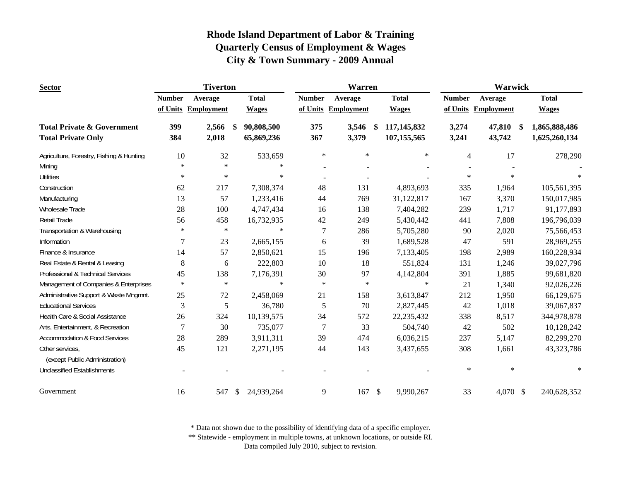| <b>Sector</b>                                                      | <b>Tiverton</b> |                     |               | <b>Warren</b>            |                |                     |               | Warwick                    |                |                        |                                |
|--------------------------------------------------------------------|-----------------|---------------------|---------------|--------------------------|----------------|---------------------|---------------|----------------------------|----------------|------------------------|--------------------------------|
|                                                                    | <b>Number</b>   | Average             |               | <b>Total</b>             | <b>Number</b>  | Average             |               | <b>Total</b>               | <b>Number</b>  | Average                | <b>Total</b>                   |
|                                                                    |                 | of Units Employment |               | <b>Wages</b>             |                | of Units Employment |               | <b>Wages</b>               | of Units       | <b>Employment</b>      | <b>Wages</b>                   |
| <b>Total Private &amp; Government</b><br><b>Total Private Only</b> | 399<br>384      | 2,566<br>2,018      | \$            | 90,808,500<br>65,869,236 | 375<br>367     | 3,546<br>3,379      | \$            | 117,145,832<br>107,155,565 | 3,274<br>3,241 | 47,810<br>\$<br>43,742 | 1,865,888,486<br>1,625,260,134 |
| Agriculture, Forestry, Fishing & Hunting                           | 10              | 32                  |               | 533,659                  | $\ast$         | $\ast$              |               | $\ast$                     | $\overline{4}$ | 17                     | 278,290                        |
| Mining                                                             | $\ast$          | $\ast$              |               | $\ast$                   |                |                     |               |                            |                |                        |                                |
| <b>Utilities</b>                                                   | $\ast$          | $\ast$              |               | $\ast$                   | $\blacksquare$ |                     |               |                            | $\ast$         | $\ast$                 |                                |
| Construction                                                       | 62              | 217                 |               | 7,308,374                | 48             | 131                 |               | 4,893,693                  | 335            | 1,964                  | 105,561,395                    |
| Manufacturing                                                      | 13              | 57                  |               | 1,233,416                | 44             | 769                 |               | 31,122,817                 | 167            | 3,370                  | 150,017,985                    |
| Wholesale Trade                                                    | 28              | 100                 |               | 4,747,434                | 16             | 138                 |               | 7,404,282                  | 239            | 1,717                  | 91,177,893                     |
| Retail Trade                                                       | 56              | 458                 |               | 16,732,935               | 42             | 249                 |               | 5,430,442                  | 441            | 7,808                  | 196,796,039                    |
| Transportation & Warehousing                                       | $\ast$          | $\ast$              |               | $\ast$                   | 7              | 286                 |               | 5,705,280                  | 90             | 2,020                  | 75,566,453                     |
| Information                                                        | 7               | 23                  |               | 2,665,155                | 6              | 39                  |               | 1,689,528                  | 47             | 591                    | 28,969,255                     |
| Finance & Insurance                                                | 14              | 57                  |               | 2,850,621                | 15             | 196                 |               | 7,133,405                  | 198            | 2,989                  | 160,228,934                    |
| Real Estate & Rental & Leasing                                     | 8               | 6                   |               | 222,803                  | 10             | 18                  |               | 551,824                    | 131            | 1,246                  | 39,027,796                     |
| Professional & Technical Services                                  | 45              | 138                 |               | 7,176,391                | 30             | 97                  |               | 4,142,804                  | 391            | 1,885                  | 99,681,820                     |
| Management of Companies & Enterprises                              | $\ast$          | $\ast$              |               | $\ast$                   | $\ast$         | $\ast$              |               | $\ast$                     | 21             | 1,340                  | 92,026,226                     |
| Administrative Support & Waste Mngmnt.                             | 25              | 72                  |               | 2,458,069                | 21             | 158                 |               | 3,613,847                  | 212            | 1,950                  | 66,129,675                     |
| <b>Educational Services</b>                                        | 3               | 5                   |               | 36,780                   | 5              | 70                  |               | 2,827,445                  | 42             | 1,018                  | 39,067,837                     |
| Health Care & Social Assistance                                    | 26              | 324                 |               | 10,139,575               | 34             | 572                 |               | 22, 235, 432               | 338            | 8,517                  | 344,978,878                    |
| Arts, Entertainment, & Recreation                                  | $\overline{7}$  | 30                  |               | 735,077                  | 7              | 33                  |               | 504,740                    | 42             | 502                    | 10,128,242                     |
| Accommodation & Food Services                                      | 28              | 289                 |               | 3,911,311                | 39             | 474                 |               | 6,036,215                  | 237            | 5,147                  | 82,299,270                     |
| Other services,<br>(except Public Administration)                  | 45              | 121                 |               | 2,271,195                | 44             | 143                 |               | 3,437,655                  | 308            | 1,661                  | 43,323,786                     |
| <b>Unclassified Establishments</b>                                 |                 |                     |               |                          |                |                     |               |                            | $\ast$         | $\ast$                 | $\star$                        |
| Government                                                         | 16              | 547                 | <sup>\$</sup> | 24,939,264               | 9              | 167                 | $\mathcal{S}$ | 9,990,267                  | 33             | $4,070$ \$             | 240,628,352                    |

\* Data not shown due to the possibility of identifying data of a specific employer.

\*\* Statewide - employment in multiple towns, at unknown locations, or outside RI.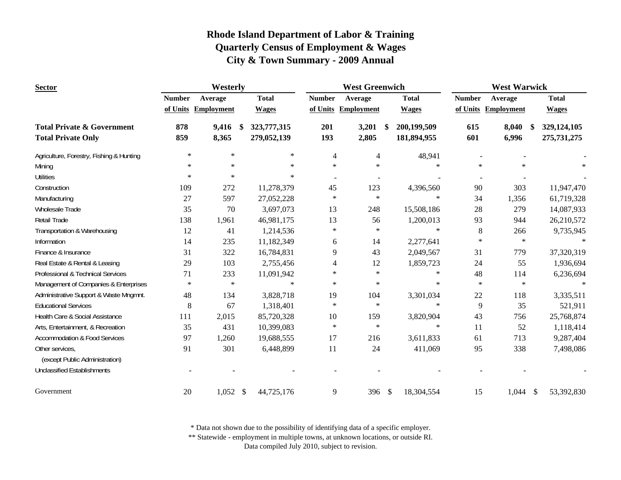| <b>Sector</b>                                                      | Westerly      |                     |   |                            | <b>West Greenwich</b> |                     |    |                            | <b>West Warwick</b> |                                 |  |                            |
|--------------------------------------------------------------------|---------------|---------------------|---|----------------------------|-----------------------|---------------------|----|----------------------------|---------------------|---------------------------------|--|----------------------------|
|                                                                    | <b>Number</b> | Average             |   | <b>Total</b>               | <b>Number</b>         | Average             |    | <b>Total</b>               | <b>Number</b>       | Average                         |  | <b>Total</b>               |
|                                                                    |               | of Units Employment |   | <b>Wages</b>               |                       | of Units Employment |    | <b>Wages</b>               | of Units            | <b>Employment</b>               |  | <b>Wages</b>               |
| <b>Total Private &amp; Government</b><br><b>Total Private Only</b> | 878<br>859    | 9,416<br>8,365      | S | 323,777,315<br>279,052,139 | 201<br>193            | 3,201<br>2,805      | \$ | 200,199,509<br>181,894,955 | 615<br>601          | 8,040<br><sup>\$</sup><br>6,996 |  | 329,124,105<br>275,731,275 |
| Agriculture, Forestry, Fishing & Hunting                           | $\ast$        | $\ast$              |   | $\ast$                     | $\overline{4}$        | $\overline{4}$      |    | 48,941                     |                     |                                 |  |                            |
| Mining                                                             | $\ast$        | $\ast$              |   | $\ast$                     | $\ast$                | $\ast$              |    | $\ast$                     | $\ast$              | $\ast$                          |  |                            |
| <b>Utilities</b>                                                   | $\ast$        | $\ast$              |   | $\ast$                     |                       |                     |    |                            |                     |                                 |  |                            |
| Construction                                                       | 109           | 272                 |   | 11,278,379                 | 45                    | 123                 |    | 4,396,560                  | 90                  | 303                             |  | 11,947,470                 |
| Manufacturing                                                      | 27            | 597                 |   | 27,052,228                 | $\ast$                | $\ast$              |    | $\ast$                     | 34                  | 1,356                           |  | 61,719,328                 |
| Wholesale Trade                                                    | 35            | 70                  |   | 3,697,073                  | 13                    | 248                 |    | 15,508,186                 | 28                  | 279                             |  | 14,087,933                 |
| Retail Trade                                                       | 138           | 1,961               |   | 46,981,175                 | 13                    | 56                  |    | 1,200,013                  | 93                  | 944                             |  | 26,210,572                 |
| Transportation & Warehousing                                       | 12            | 41                  |   | 1,214,536                  | $\ast$                | $\ast$              |    | $\ast$                     | 8                   | 266                             |  | 9,735,945                  |
| Information                                                        | 14            | 235                 |   | 11,182,349                 | 6                     | 14                  |    | 2,277,641                  | $\ast$              | $\star$                         |  |                            |
| Finance & Insurance                                                | 31            | 322                 |   | 16,784,831                 | 9                     | 43                  |    | 2,049,567                  | 31                  | 779                             |  | 37,320,319                 |
| Real Estate & Rental & Leasing                                     | 29            | 103                 |   | 2,755,456                  | 4                     | 12                  |    | 1,859,723                  | 24                  | 55                              |  | 1,936,694                  |
| Professional & Technical Services                                  | 71            | 233                 |   | 11,091,942                 | $\ast$                | $\ast$              |    | $\ast$                     | 48                  | 114                             |  | 6,236,694                  |
| Management of Companies & Enterprises                              | $\ast$        | $\ast$              |   | $\ast$                     | $\ast$                | $\ast$              |    | $\ast$                     | $\ast$              | $\ast$                          |  | $\ast$                     |
| Administrative Support & Waste Mngmnt.                             | 48            | 134                 |   | 3,828,718                  | 19                    | 104                 |    | 3,301,034                  | 22                  | 118                             |  | 3,335,511                  |
| <b>Educational Services</b>                                        | 8             | 67                  |   | 1,318,401                  | $\ast$                | $\ast$              |    | $\ast$                     | 9                   | 35                              |  | 521,911                    |
| Health Care & Social Assistance                                    | 111           | 2,015               |   | 85,720,328                 | 10                    | 159                 |    | 3,820,904                  | 43                  | 756                             |  | 25,768,874                 |
| Arts, Entertainment, & Recreation                                  | 35            | 431                 |   | 10,399,083                 | $\ast$                | $\ast$              |    | $\ast$                     | 11                  | 52                              |  | 1,118,414                  |
| <b>Accommodation &amp; Food Services</b>                           | 97            | 1,260               |   | 19,688,555                 | 17                    | 216                 |    | 3,611,833                  | 61                  | 713                             |  | 9,287,404                  |
| Other services,<br>(except Public Administration)                  | 91            | 301                 |   | 6,448,899                  | 11                    | 24                  |    | 411,069                    | 95                  | 338                             |  | 7,498,086                  |
| <b>Unclassified Establishments</b>                                 |               |                     |   |                            |                       |                     |    |                            |                     |                                 |  |                            |
| Government                                                         | 20            | $1,052$ \$          |   | 44,725,176                 | 9                     | 396 $$$             |    | 18,304,554                 | 15                  | $1,044$ \$                      |  | 53,392,830                 |

\* Data not shown due to the possibility of identifying data of a specific employer.

\*\* Statewide - employment in multiple towns, at unknown locations, or outside RI.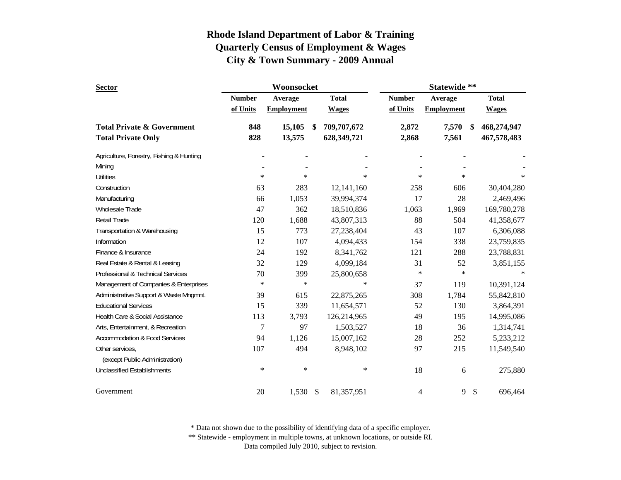| <b>Sector</b>                            |               | Woonsocket        |               |              | Statewide **  |                   |                           |              |  |
|------------------------------------------|---------------|-------------------|---------------|--------------|---------------|-------------------|---------------------------|--------------|--|
|                                          | <b>Number</b> | Average           |               | <b>Total</b> | <b>Number</b> | Average           |                           | <b>Total</b> |  |
|                                          | of Units      | <b>Employment</b> |               | <b>Wages</b> | of Units      | <b>Employment</b> |                           | <b>Wages</b> |  |
| <b>Total Private &amp; Government</b>    | 848           | 15,105            | \$            | 709,707,672  | 2,872         | 7,570             | S                         | 468,274,947  |  |
| <b>Total Private Only</b>                | 828           | 13,575            |               | 628,349,721  | 2,868         | 7,561             |                           | 467,578,483  |  |
| Agriculture, Forestry, Fishing & Hunting |               |                   |               |              |               |                   |                           |              |  |
| Mining                                   |               |                   |               |              |               |                   |                           |              |  |
| <b>Utilities</b>                         | $\ast$        | $\ast$            |               | $\ast$       | $\ast$        | $\ast$            |                           | $\ast$       |  |
| Construction                             | 63            | 283               |               | 12,141,160   | 258           | 606               |                           | 30,404,280   |  |
| Manufacturing                            | 66            | 1,053             |               | 39,994,374   | 17            | 28                |                           | 2,469,496    |  |
| Wholesale Trade                          | 47            | 362               |               | 18,510,836   | 1,063         | 1,969             |                           | 169,780,278  |  |
| Retail Trade                             | 120           | 1,688             |               | 43,807,313   | 88            | 504               |                           | 41,358,677   |  |
| Transportation & Warehousing             | 15            | 773               |               | 27,238,404   | 43            | 107               |                           | 6,306,088    |  |
| Information                              | 12            | 107               |               | 4,094,433    | 154           | 338               |                           | 23,759,835   |  |
| Finance & Insurance                      | 24            | 192               |               | 8,341,762    | 121           | 288               |                           | 23,788,831   |  |
| Real Estate & Rental & Leasing           | 32            | 129               |               | 4,099,184    | 31            | 52                |                           | 3,851,155    |  |
| Professional & Technical Services        | 70            | 399               |               | 25,800,658   | $\ast$        | $\ast$            |                           |              |  |
| Management of Companies & Enterprises    | $\ast$        | $\ast$            |               | $\ast$       | 37            | 119               |                           | 10,391,124   |  |
| Administrative Support & Waste Mngmnt.   | 39            | 615               |               | 22,875,265   | 308           | 1,784             |                           | 55,842,810   |  |
| <b>Educational Services</b>              | 15            | 339               |               | 11,654,571   | 52            | 130               |                           | 3,864,391    |  |
| Health Care & Social Assistance          | 113           | 3,793             |               | 126,214,965  | 49            | 195               |                           | 14,995,086   |  |
| Arts, Entertainment, & Recreation        | 7             | 97                |               | 1,503,527    | 18            | 36                |                           | 1,314,741    |  |
| <b>Accommodation &amp; Food Services</b> | 94            | 1,126             |               | 15,007,162   | 28            | 252               |                           | 5,233,212    |  |
| Other services,                          | 107           | 494               |               | 8,948,102    | 97            | 215               |                           | 11,549,540   |  |
| (except Public Administration)           |               |                   |               |              |               |                   |                           |              |  |
| <b>Unclassified Establishments</b>       | $\ast$        | $\ast$            |               | $\ast$       | 18            | 6                 |                           | 275,880      |  |
| Government                               | 20            | 1,530             | $\mathcal{S}$ | 81,357,951   | 4             | 9                 | $\boldsymbol{\mathsf{S}}$ | 696,464      |  |

\* Data not shown due to the possibility of identifying data of a specific employer.

\*\* Statewide - employment in multiple towns, at unknown locations, or outside RI.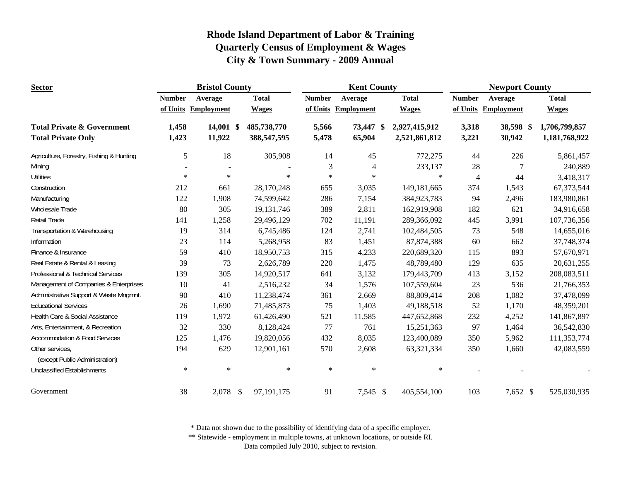| <b>Sector</b>                                     |               | <b>Bristol County</b> |              |                  | <b>Kent County</b>  |               |                | <b>Newport County</b> |               |
|---------------------------------------------------|---------------|-----------------------|--------------|------------------|---------------------|---------------|----------------|-----------------------|---------------|
|                                                   | <b>Number</b> | Average               | <b>Total</b> | <b>Number</b>    | Average             | <b>Total</b>  | <b>Number</b>  | Average               | <b>Total</b>  |
|                                                   |               | of Units Employment   | <b>Wages</b> |                  | of Units Employment | <b>Wages</b>  |                | of Units Employment   | <b>Wages</b>  |
| <b>Total Private &amp; Government</b>             | 1,458         | $14,001$ \$           | 485,738,770  | 5,566            | 73,447 \$           | 2,927,415,912 | 3,318          | 38,598 \$             | 1,706,799,857 |
| <b>Total Private Only</b>                         | 1,423         | 11,922                | 388,547,595  | 5,478            | 65,904              | 2,521,861,812 | 3,221          | 30,942                | 1,181,768,922 |
| Agriculture, Forestry, Fishing & Hunting          | 5             | 18                    |              | 305,908          | 45<br>14            | 772,275       | 44             | 226                   | 5,861,457     |
| Mining                                            |               |                       |              |                  | 3<br>$\overline{4}$ | 233,137       | 28             | $\overline{7}$        | 240,889       |
| <b>Utilities</b>                                  | $\ast$        | $\ast$                |              | $\ast$           | $\ast$<br>$\ast$    | $\ast$        | $\overline{4}$ | 44                    | 3,418,317     |
| Construction                                      | 212           | 661                   | 28,170,248   | 655              | 3,035               | 149,181,665   | 374            | 1,543                 | 67,373,544    |
| Manufacturing                                     | 122           | 1,908                 | 74,599,642   | 286              | 7,154               | 384,923,783   | 94             | 2,496                 | 183,980,861   |
| Wholesale Trade                                   | 80            | 305                   | 19, 131, 746 | 389              | 2,811               | 162,919,908   | 182            | 621                   | 34,916,658    |
| <b>Retail Trade</b>                               | 141           | 1,258                 | 29,496,129   | 702              | 11,191              | 289,366,092   | 445            | 3,991                 | 107,736,356   |
| Transportation & Warehousing                      | 19            | 314                   |              | 6,745,486<br>124 | 2,741               | 102,484,505   | 73             | 548                   | 14,655,016    |
| Information                                       | 23            | 114                   | 5,268,958    |                  | 83<br>1,451         | 87,874,388    | 60             | 662                   | 37,748,374    |
| Finance & Insurance                               | 59            | 410                   | 18,950,753   | 315              | 4,233               | 220,689,320   | 115            | 893                   | 57,670,971    |
| Real Estate & Rental & Leasing                    | 39            | 73                    | 2,626,789    | 220              | 1,475               | 48,789,480    | 129            | 635                   | 20,631,255    |
| Professional & Technical Services                 | 139           | 305                   | 14,920,517   | 641              | 3,132               | 179,443,709   | 413            | 3,152                 | 208,083,511   |
| Management of Companies & Enterprises             | 10            | 41                    | 2,516,232    |                  | 34<br>1,576         | 107,559,604   | 23             | 536                   | 21,766,353    |
| Administrative Support & Waste Mngmnt.            | 90            | 410                   | 11,238,474   | 361              | 2,669               | 88,809,414    | 208            | 1,082                 | 37,478,099    |
| <b>Educational Services</b>                       | 26            | 1,690                 | 71,485,873   |                  | 75<br>1,403         | 49,188,518    | 52             | 1,170                 | 48,359,201    |
| Health Care & Social Assistance                   | 119           | 1,972                 | 61,426,490   | 521              | 11,585              | 447,652,868   | 232            | 4,252                 | 141,867,897   |
| Arts, Entertainment, & Recreation                 | 32            | 330                   | 8,128,424    |                  | 77<br>761           | 15,251,363    | 97             | 1,464                 | 36,542,830    |
| <b>Accommodation &amp; Food Services</b>          | 125           | 1,476                 | 19,820,056   | 432              | 8,035               | 123,400,089   | 350            | 5,962                 | 111,353,774   |
| Other services,<br>(except Public Administration) | 194           | 629                   | 12,901,161   | 570              | 2,608               | 63,321,334    | 350            | 1,660                 | 42,083,559    |
| <b>Unclassified Establishments</b>                | $\ast$        | $\ast$                |              | $\ast$           | $\ast$<br>$\ast$    | $\ast$        |                |                       |               |
| Government                                        | 38            | $2,078$ \$            | 97,191,175   |                  | 91<br>7,545 \$      | 405,554,100   | 103            | 7,652 \$              | 525,030,935   |

\* Data not shown due to the possibility of identifying data of a specific employer.

\*\* Statewide - employment in multiple towns, at unknown locations, or outside RI.